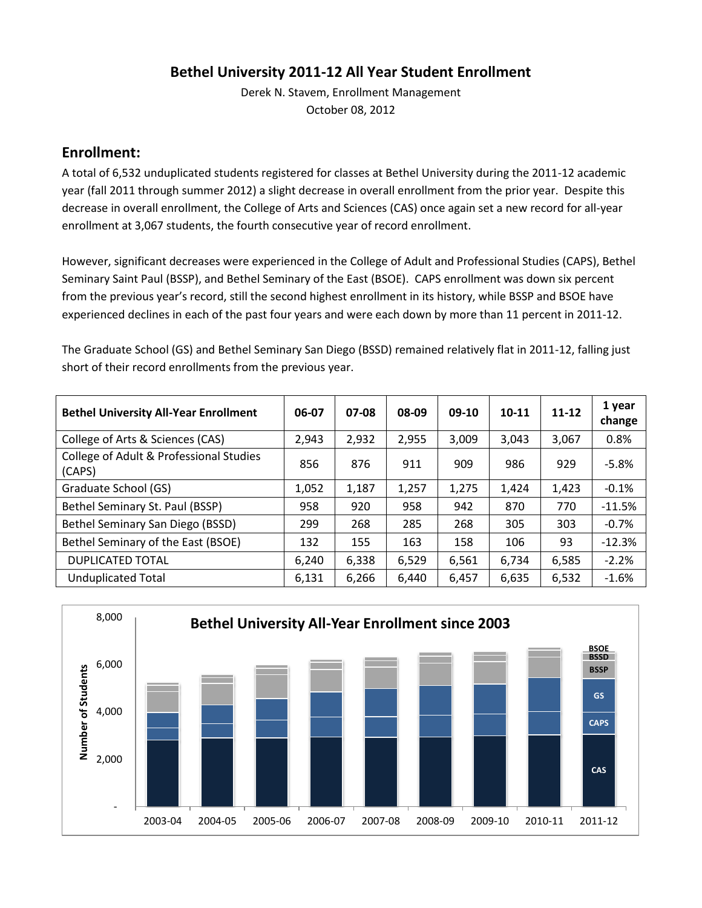# **Bethel University 2011-12 All Year Student Enrollment**

Derek N. Stavem, Enrollment Management October 08, 2012

#### **Enrollment:**

A total of 6,532 unduplicated students registered for classes at Bethel University during the 2011-12 academic year (fall 2011 through summer 2012) a slight decrease in overall enrollment from the prior year. Despite this decrease in overall enrollment, the College of Arts and Sciences (CAS) once again set a new record for all-year enrollment at 3,067 students, the fourth consecutive year of record enrollment.

However, significant decreases were experienced in the College of Adult and Professional Studies (CAPS), Bethel Seminary Saint Paul (BSSP), and Bethel Seminary of the East (BSOE). CAPS enrollment was down six percent from the previous year's record, still the second highest enrollment in its history, while BSSP and BSOE have experienced declines in each of the past four years and were each down by more than 11 percent in 2011-12.

The Graduate School (GS) and Bethel Seminary San Diego (BSSD) remained relatively flat in 2011-12, falling just short of their record enrollments from the previous year.

| <b>Bethel University All-Year Enrollment</b>      | 06-07 | 07-08 | 08-09 | $09-10$ | 10-11 | $11 - 12$ | 1 year<br>change |
|---------------------------------------------------|-------|-------|-------|---------|-------|-----------|------------------|
| College of Arts & Sciences (CAS)                  | 2,943 | 2,932 | 2,955 | 3,009   | 3,043 | 3,067     | 0.8%             |
| College of Adult & Professional Studies<br>(CAPS) | 856   | 876   | 911   | 909     | 986   | 929       | $-5.8%$          |
| Graduate School (GS)                              | 1,052 | 1,187 | 1,257 | 1,275   | 1,424 | 1,423     | $-0.1%$          |
| Bethel Seminary St. Paul (BSSP)                   | 958   | 920   | 958   | 942     | 870   | 770       | $-11.5%$         |
| Bethel Seminary San Diego (BSSD)                  | 299   | 268   | 285   | 268     | 305   | 303       | $-0.7%$          |
| Bethel Seminary of the East (BSOE)                | 132   | 155   | 163   | 158     | 106   | 93        | $-12.3%$         |
| <b>DUPLICATED TOTAL</b>                           | 6,240 | 6,338 | 6,529 | 6,561   | 6,734 | 6,585     | $-2.2%$          |
| <b>Unduplicated Total</b>                         | 6,131 | 6,266 | 6,440 | 6,457   | 6,635 | 6,532     | $-1.6%$          |

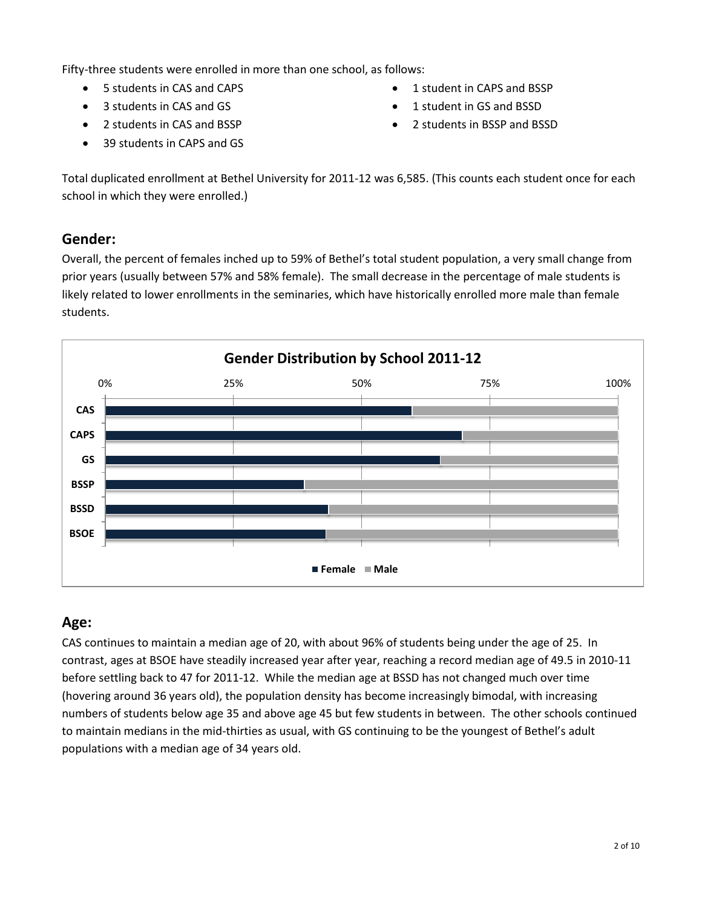Fifty-three students were enrolled in more than one school, as follows:

- 5 students in CAS and CAPS
- 3 students in CAS and GS
- 2 students in CAS and BSSP
- 39 students in CAPS and GS
- 1 student in CAPS and BSSP
- 1 student in GS and BSSD
- 2 students in BSSP and BSSD

Total duplicated enrollment at Bethel University for 2011-12 was 6,585. (This counts each student once for each school in which they were enrolled.)

## **Gender:**

Overall, the percent of females inched up to 59% of Bethel's total student population, a very small change from prior years (usually between 57% and 58% female). The small decrease in the percentage of male students is likely related to lower enrollments in the seminaries, which have historically enrolled more male than female students.



## **Age:**

CAS continues to maintain a median age of 20, with about 96% of students being under the age of 25. In contrast, ages at BSOE have steadily increased year after year, reaching a record median age of 49.5 in 2010-11 before settling back to 47 for 2011-12. While the median age at BSSD has not changed much over time (hovering around 36 years old), the population density has become increasingly bimodal, with increasing numbers of students below age 35 and above age 45 but few students in between. The other schools continued to maintain medians in the mid-thirties as usual, with GS continuing to be the youngest of Bethel's adult populations with a median age of 34 years old.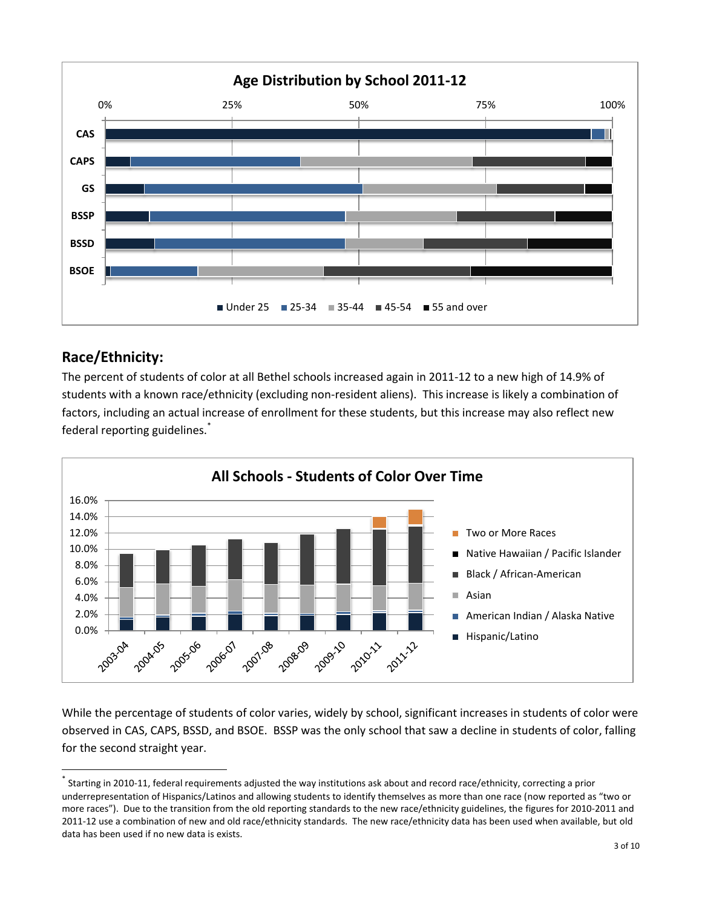

# **Race/Ethnicity:**

 $\overline{\phantom{a}}$ 

The percent of students of color at all Bethel schools increased again in 2011-12 to a new high of 14.9% of students with a known race/ethnicity (excluding non-resident aliens). This increase is likely a combination of factors, including an actual increase of enrollment for these students, but this increase may also reflect new federal reporting guidelines.<sup>\*</sup>



While the percentage of students of color varies, widely by school, significant increases in students of color were observed in CAS, CAPS, BSSD, and BSOE. BSSP was the only school that saw a decline in students of color, falling for the second straight year.

<sup>\*</sup> Starting in 2010-11, federal requirements adjusted the way institutions ask about and record race/ethnicity, correcting a prior underrepresentation of Hispanics/Latinos and allowing students to identify themselves as more than one race (now reported as "two or more races"). Due to the transition from the old reporting standards to the new race/ethnicity guidelines, the figures for 2010-2011 and 2011-12 use a combination of new and old race/ethnicity standards. The new race/ethnicity data has been used when available, but old data has been used if no new data is exists.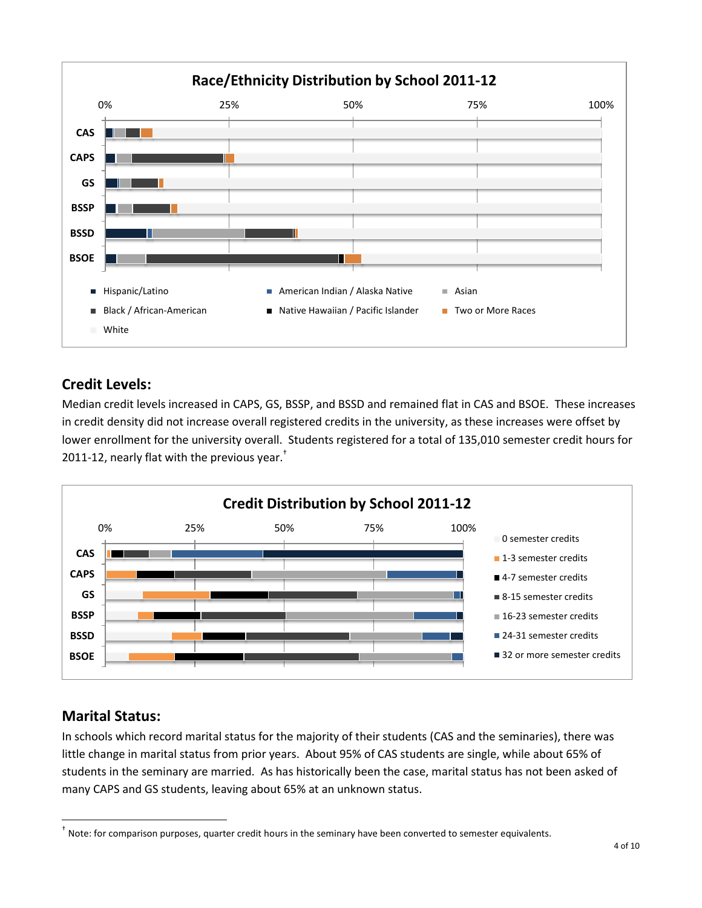

# **Credit Levels:**

Median credit levels increased in CAPS, GS, BSSP, and BSSD and remained flat in CAS and BSOE. These increases in credit density did not increase overall registered credits in the university, as these increases were offset by lower enrollment for the university overall. Students registered for a total of 135,010 semester credit hours for 2011-12, nearly flat with the previous year. $<sup>†</sup>$ </sup>



# **Marital Status:**

 $\overline{\phantom{a}}$ 

In schools which record marital status for the majority of their students (CAS and the seminaries), there was little change in marital status from prior years. About 95% of CAS students are single, while about 65% of students in the seminary are married. As has historically been the case, marital status has not been asked of many CAPS and GS students, leaving about 65% at an unknown status.

<sup>†</sup> Note: for comparison purposes, quarter credit hours in the seminary have been converted to semester equivalents.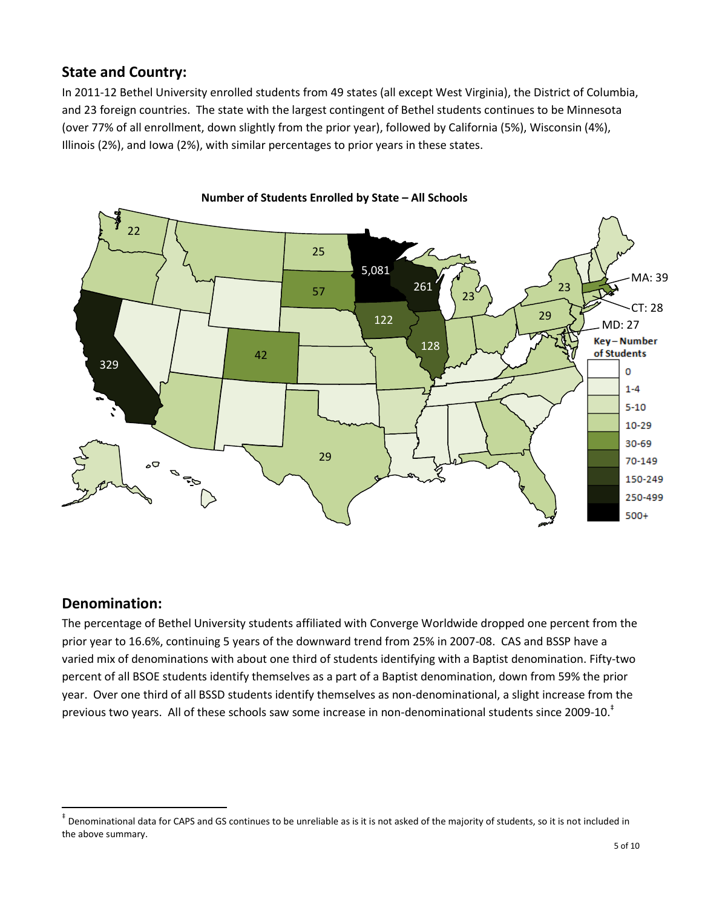# **State and Country:**

In 2011-12 Bethel University enrolled students from 49 states (all except West Virginia), the District of Columbia, and 23 foreign countries. The state with the largest contingent of Bethel students continues to be Minnesota (over 77% of all enrollment, down slightly from the prior year), followed by California (5%), Wisconsin (4%), Illinois (2%), and Iowa (2%), with similar percentages to prior years in these states.





## **Denomination:**

 $\overline{\phantom{a}}$ 

The percentage of Bethel University students affiliated with Converge Worldwide dropped one percent from the prior year to 16.6%, continuing 5 years of the downward trend from 25% in 2007-08. CAS and BSSP have a varied mix of denominations with about one third of students identifying with a Baptist denomination. Fifty-two percent of all BSOE students identify themselves as a part of a Baptist denomination, down from 59% the prior year. Over one third of all BSSD students identify themselves as non-denominational, a slight increase from the previous two years. All of these schools saw some increase in non-denominational students since 2009-10.<sup>‡</sup>

<sup>‡</sup> Denominational data for CAPS and GS continues to be unreliable as is it is not asked of the majority of students, so it is not included in the above summary.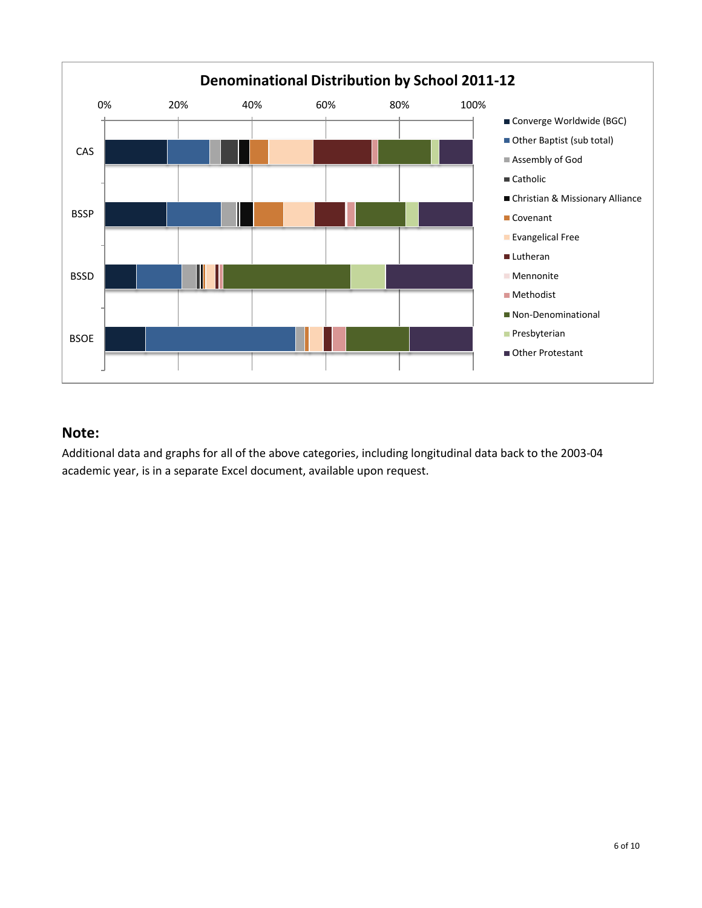

#### **Note:**

Additional data and graphs for all of the above categories, including longitudinal data back to the 2003-04 academic year, is in a separate Excel document, available upon request.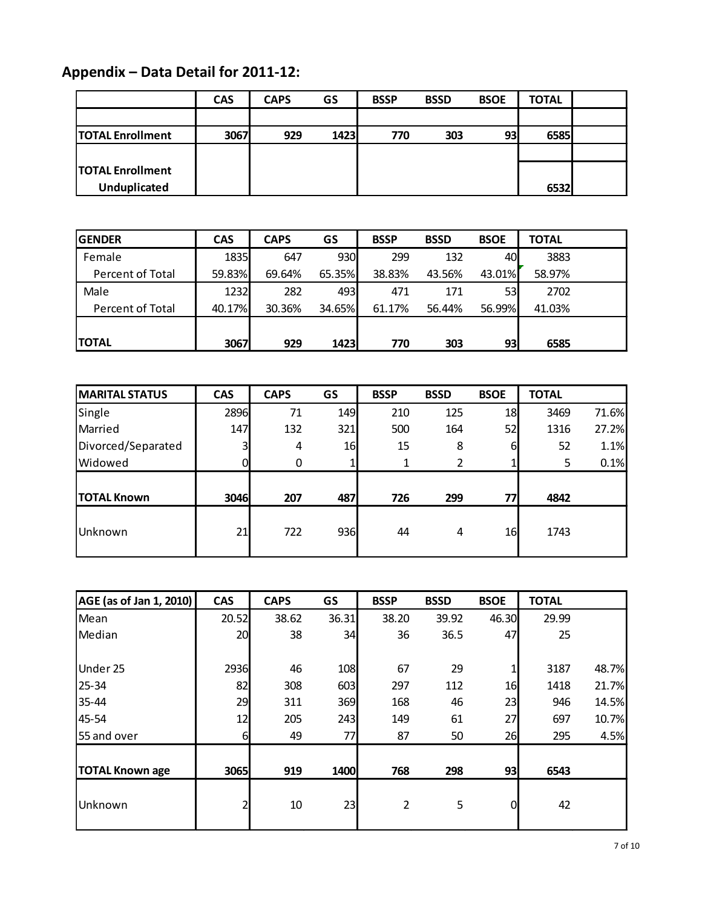# **Appendix – Data Detail for 2011-12:**

| ppendix – Data Detail for 2011-12: |            |             |      |             |             |             |              |  |
|------------------------------------|------------|-------------|------|-------------|-------------|-------------|--------------|--|
|                                    | <b>CAS</b> | <b>CAPS</b> | GS   | <b>BSSP</b> | <b>BSSD</b> | <b>BSOE</b> | <b>TOTAL</b> |  |
|                                    |            |             |      |             |             |             |              |  |
| <b>TOTAL Enrollment</b>            | 3067       | 929         | 1423 | 770         | 303         | 93          | 6585         |  |
|                                    |            |             |      |             |             |             |              |  |
| <b>TOTAL Enrollment</b>            |            |             |      |             |             |             |              |  |
| Unduplicated                       |            |             |      |             |             |             | 6532         |  |

| <b>Unduplicated</b> |            |             |        |             |             |             | 6532         |  |
|---------------------|------------|-------------|--------|-------------|-------------|-------------|--------------|--|
|                     |            |             |        |             |             |             |              |  |
| <b>GENDER</b>       | <b>CAS</b> | <b>CAPS</b> | GS     | <b>BSSP</b> | <b>BSSD</b> | <b>BSOE</b> | <b>TOTAL</b> |  |
| Female              | 1835       | 647         | 930    | 299         | 132         | 40          | 3883         |  |
| Percent of Total    | 59.83%     | 69.64%      | 65.35% | 38.83%      | 43.56%      | 43.01%      | 58.97%       |  |
| Male                | 1232       | 282         | 493    | 471         | 171         | 53          | 2702         |  |
| Percent of Total    | 40.17%     | 30.36%      | 34.65% | 61.17%      | 56.44%      | 56.99%      | 41.03%       |  |
|                     |            |             |        |             |             |             |              |  |
| <b>TOTAL</b>        | 3067       | 929         | 1423   | 770         | 303         | 93          | 6585         |  |

| <b>TOTAL</b>          | 3067       | 929         |     | 1423<br>770 |             | 93<br>303   |              |       |
|-----------------------|------------|-------------|-----|-------------|-------------|-------------|--------------|-------|
|                       |            |             |     |             |             |             |              |       |
| <b>MARITAL STATUS</b> | <b>CAS</b> | <b>CAPS</b> | GS  | <b>BSSP</b> | <b>BSSD</b> | <b>BSOE</b> | <b>TOTAL</b> |       |
| Single                | 2896       | 71          | 149 | 210         | 125         | 18          | 3469         | 71.6% |
| Married               | 147        | 132         | 321 | 500         | 164         | 52          | 1316         | 27.2% |
| Divorced/Separated    |            | 4           | 16  | 15          | 8           | 61          | 52           | 1.1%  |
| Widowed               |            | 0           |     | 1           | 2           |             | 5            | 0.1%  |
|                       |            |             |     |             |             |             |              |       |
| <b>TOTAL Known</b>    | 3046       | 207         | 487 | 726         | 299         | 77          | 4842         |       |
| Unknown               | 21         | 722         | 936 | 44          | 4           | 16          | 1743         |       |

| AGE (as of Jan 1, 2010) | <b>CAS</b> | <b>CAPS</b> | GS    | <b>BSSP</b>    | <b>BSSD</b> | <b>BSOE</b> | <b>TOTAL</b> |       |
|-------------------------|------------|-------------|-------|----------------|-------------|-------------|--------------|-------|
| Mean                    | 20.52      | 38.62       | 36.31 | 38.20          | 39.92       | 46.30       | 29.99        |       |
| Median                  | 20         | 38          | 34    | 36             | 36.5        | 47          | 25           |       |
| Under 25                | 2936       | 46          | 108   | 67             | 29          |             | 3187         | 48.7% |
| 25-34                   | 82         | 308         | 603   | 297            | 112         | 16          | 1418         | 21.7% |
| 35-44                   | 29         | 311         | 369   | 168            | 46          | 23          | 946          | 14.5% |
| 45-54                   | 12         | 205         | 243   | 149            | 61          | 27          | 697          | 10.7% |
| 55 and over             | 6          | 49          | 77    | 87             | 50          | 26          | 295          | 4.5%  |
|                         |            |             |       |                |             |             |              |       |
| <b>TOTAL Known age</b>  | 3065       | 919         | 1400  | 768            | 298         | 93          | 6543         |       |
| Unknown                 | 2          | 10          | 23    | $\overline{2}$ | 5           | $\Omega$    | 42           |       |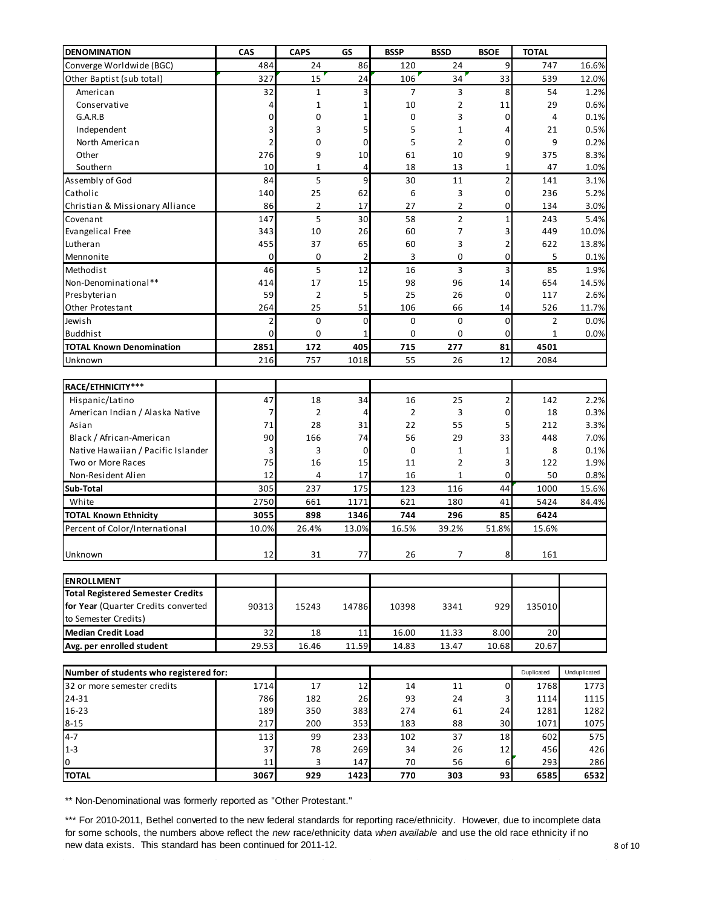| <b>DENOMINATION</b>                      | CAS      | <b>CAPS</b>    | GS          | <b>BSSP</b>    | <b>BSSD</b>  | <b>BSOE</b>    | <b>TOTAL</b>   |              |
|------------------------------------------|----------|----------------|-------------|----------------|--------------|----------------|----------------|--------------|
| Converge Worldwide (BGC)                 | 484      | 24             | 86          | 120            | 24           | 9              | 747            | 16.6%        |
| Other Baptist (sub total)                | 327      | 15             | 24          | 106            | 34           | 33             | 539            | 12.0%        |
| American                                 | 32       | 1              | 3           | 7              | 3            | 8              | 54             | 1.2%         |
| Conservative                             | 4        | $\mathbf{1}$   | 1           | 10             | 2            | 11             | 29             | 0.6%         |
| G.A.R.B                                  | 0        | 0              | 1           | 0              | 3            | 0              | 4              | 0.1%         |
| Independent                              | 3        | 3              | 5           | 5              | $\mathbf{1}$ | 4              | 21             | 0.5%         |
| North American                           | 2        | 0              | 0           | 5              | 2            | 0              | 9              | 0.2%         |
| Other                                    | 276      | 9              | 10          | 61             | 10           | 9              | 375            | 8.3%         |
| Southern                                 | 10       | 1              | 4           | 18             | 13           | 1              | 47             | 1.0%         |
| Assembly of God                          | 84       | 5              | 9           | 30             | 11           | $\overline{2}$ | 141            | 3.1%         |
| Catholic                                 | 140      | 25             | 62          | 6              | 3            | $\mathbf 0$    | 236            | 5.2%         |
| Christian & Missionary Alliance          | 86       | 2              | 17          | 27             | 2            | 0              | 134            | 3.0%         |
| Covenant                                 | 147      | 5              | 30          | 58             | 2            | $\mathbf{1}$   | 243            | 5.4%         |
| <b>Evangelical Free</b>                  | 343      | 10             | 26          | 60             | 7            | 3              | 449            | 10.0%        |
| Lutheran                                 | 455      | 37             | 65          | 60             | 3            | $\overline{2}$ | 622            | 13.8%        |
| Mennonite                                | 0        | 0              | 2           | 3              | 0            | 0              | 5              | 0.1%         |
| Methodist                                | 46       | 5              | 12          | 16             | 3            | 3              | 85             | 1.9%         |
| Non-Denominational**                     | 414      | 17             | 15          | 98             | 96           | 14             | 654            | 14.5%        |
| Presbyterian                             | 59       | 2              | 5           | 25             | 26           | 0              | 117            | 2.6%         |
| Other Protestant                         | 264      | 25             | 51          | 106            | 66           | 14             | 526            | 11.7%        |
| Jewish                                   | 2        | 0              | 0           | 0              | 0            | 0              | $\overline{2}$ | 0.0%         |
| <b>Buddhist</b>                          | 0        | 0              | 1           | 0              | 0            | 0              | 1              | 0.0%         |
| <b>TOTAL Known Denomination</b>          | 2851     | 172            | 405         | 715            | 277          | 81             | 4501           |              |
| Unknown                                  | 216      | 757            | 1018        | 55             | 26           | 12             | 2084           |              |
| RACE/ETHNICITY***                        |          |                |             |                |              |                |                |              |
| Hispanic/Latino                          | 47       | 18             | 34          | 16             | 25           | 2              | 142            | 2.2%         |
| American Indian / Alaska Native          | 7        | $\overline{2}$ | 4           | $\overline{2}$ | 3            | 0              | 18             | 0.3%         |
| Asian                                    | 71       | 28             | 31          | 22             | 55           | 5              | 212            | 3.3%         |
| Black / African-American                 | 90       | 166            | 74          | 56             | 29           | 33             | 448            | 7.0%         |
| Native Hawaiian / Pacific Islander       | 3        | 3              | $\mathbf 0$ | 0              | $\mathbf{1}$ | 1              | 8              | 0.1%         |
| Two or More Races                        | 75       | 16             | 15          | 11             | 2            | 3              | 122            | 1.9%         |
| Non-Resident Alien                       | 12       | 4              | 17          | 16             | 1            | 0              | 50             | 0.8%         |
| Sub-Total                                | 305      | 237            | 175         | 123            | 116          | 44             | 1000           | 15.6%        |
| White                                    | 2750     | 661            | 1171        | 621            | 180          | 41             | 5424           | 84.4%        |
| <b>TOTAL Known Ethnicity</b>             | 3055     | 898            | 1346        | 744            | 296          | 85             | 6424           |              |
| Percent of Color/International           | 10.0%    | 26.4%          | 13.0%       | 16.5%          | 39.2%        | 51.8%          | 15.6%          |              |
|                                          |          |                |             |                |              |                |                |              |
| Unknown                                  | 12       | 31             | 77          | 26             | 7            | 8              | 161            |              |
| <b>ENROLLMENT</b>                        |          |                |             |                |              |                |                |              |
| <b>Total Registered Semester Credits</b> |          |                |             |                |              |                |                |              |
| for Year (Quarter Credits converted      | 90313    | 15243          | 14786       | 10398          | 3341         | 929            | 135010         |              |
| to Semester Credits)                     |          |                |             |                |              |                |                |              |
| <b>Median Credit Load</b>                | 32       | 18             | 11          | 16.00          | 11.33        | 8.00           | 20             |              |
| Avg. per enrolled student                | 29.53    | 16.46          | 11.59       | 14.83          | 13.47        | 10.68          | 20.67          |              |
|                                          |          |                |             |                |              |                |                |              |
| Number of students who registered for:   |          |                |             |                |              |                | Duplicated     | Unduplicated |
| 32 or more semester credits              | 1714     | 17             | 12          | 14             | 11           | 0              | 1768           | 1773         |
| 24-31                                    | 786      | 182            | 26          | 93             | 24           | 3              | 1114           | 1115         |
| 16-23                                    | 189      | 350            | 383         | 274            | 61           | 24             | 1281           | 1282         |
| $8 - 15$                                 | 217      | 200            | 353         | 183            | 88           | 30             | 1071           | 1075         |
| $4 - 7$                                  | 113      | 99             | 233         | 102            | 37           | 18             | 602            | 575          |
| $1-3$<br>$\pmb{0}$                       | 37<br>11 | 78<br>3        | 269<br>147  | 34<br>70       | 26<br>56     | 12<br>6        | 456<br>293     | 426<br>286   |
| <b>TOTAL</b>                             | 3067     | 929            | 1423        | 770            | 303          | 93             | 6585           | 6532         |
|                                          |          |                |             |                |              |                |                |              |

\*\* Non-Denominational was formerly reported as "Other Protestant."

\*\*\* For 2010-2011, Bethel converted to the new federal standards for reporting race/ethnicity. However, due to incomplete data for some schools, the numbers above reflect the *new* race/ethnicity data *when available* and use the old race ethnicity if no new data exists. This standard has been continued for 2011-12.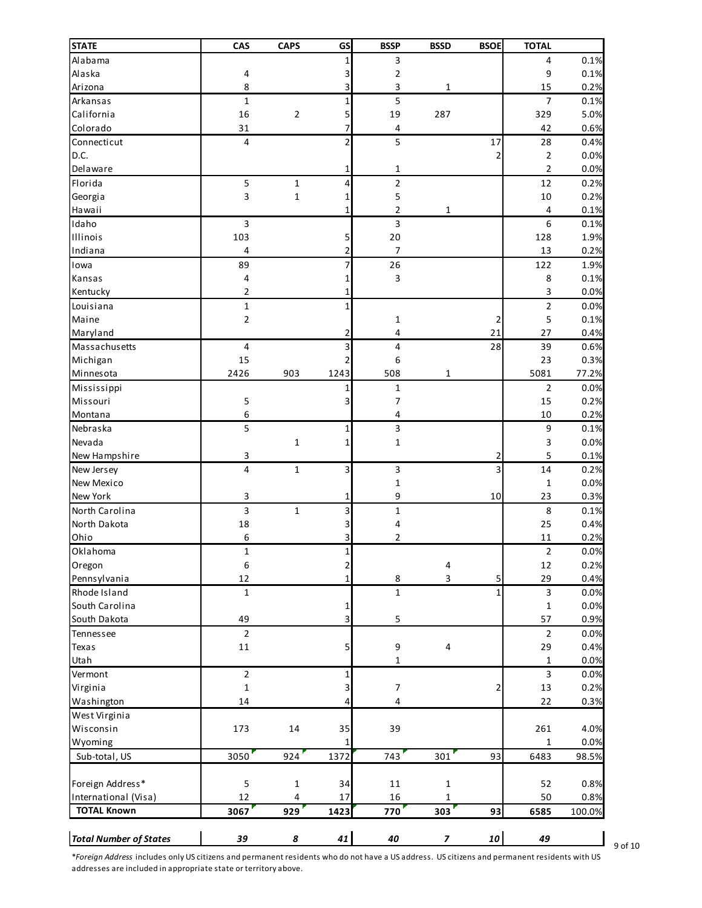| <b>STATE</b>                                                                                                                                 | CAS                     | <b>CAPS</b>  | <b>GS</b>      | <b>BSSP</b>      | <b>BSSD</b>              | <b>BSOE</b> | <b>TOTAL</b>   |        |
|----------------------------------------------------------------------------------------------------------------------------------------------|-------------------------|--------------|----------------|------------------|--------------------------|-------------|----------------|--------|
| Alabama                                                                                                                                      |                         |              |                | 3                |                          |             | 4              | 0.1%   |
| Alaska                                                                                                                                       | 4                       |              | 3              | 2                |                          |             | 9              | 0.1%   |
| Arizona                                                                                                                                      | 8                       |              | 3              | 3                | $\mathbf{1}$             |             | 15             | 0.2%   |
| Arkansas                                                                                                                                     | $\mathbf{1}$            |              | 1              | 5                |                          |             | $\overline{7}$ | 0.1%   |
| California                                                                                                                                   | 16                      | $\mathbf 2$  | 5              | 19               | 287                      |             | 329            | 5.0%   |
| Colorado                                                                                                                                     | 31                      |              | 7              | 4                |                          |             | 42             | 0.6%   |
| Connecticut                                                                                                                                  | $\overline{4}$          |              | $\overline{2}$ | 5                |                          | 17          | 28             | 0.4%   |
| D.C.                                                                                                                                         |                         |              |                |                  |                          |             | 2              | 0.0%   |
| Delaware                                                                                                                                     |                         |              | 1              | $\mathbf{1}$     |                          |             | 2              | 0.0%   |
| Florida                                                                                                                                      | 5                       | $\mathbf{1}$ | 4              | $\mathbf 2$      |                          |             | 12             | 0.2%   |
| Georgia                                                                                                                                      | 3                       | $\mathbf{1}$ | 1              | 5                |                          |             | 10             | 0.2%   |
| Hawaii                                                                                                                                       |                         |              | 1              | 2                | 1                        |             | 4              | 0.1%   |
| Idaho                                                                                                                                        | 3                       |              |                | 3                |                          |             | 6              | 0.1%   |
| Illinois                                                                                                                                     | 103                     |              | 5              | 20               |                          |             | 128            | 1.9%   |
| Indiana                                                                                                                                      | 4                       |              | 2              | 7                |                          |             | 13             | 0.2%   |
| lowa                                                                                                                                         | 89                      |              |                | 26               |                          |             | 122            | 1.9%   |
| Kansas                                                                                                                                       | 4                       |              |                | 3                |                          |             | $\,8\,$        | 0.1%   |
| Kentucky                                                                                                                                     | $\overline{2}$          |              |                |                  |                          |             | 3              | 0.0%   |
| Louisiana                                                                                                                                    | $\mathbf 1$             |              | 1              |                  |                          |             | $\mathbf 2$    | 0.0%   |
| Maine                                                                                                                                        | $\overline{2}$          |              |                | $\mathbf{1}$     |                          | 2           | 5              | 0.1%   |
| Maryland                                                                                                                                     |                         |              | 2              | 4                |                          | 21          | 27             | 0.4%   |
| Massachusetts                                                                                                                                | $\overline{\mathbf{4}}$ |              | 3              | $\pmb{4}$        |                          | 28          | 39             | 0.6%   |
| Michigan                                                                                                                                     | 15                      |              | 2              | $\boldsymbol{6}$ |                          |             | 23             | 0.3%   |
| Minnesota                                                                                                                                    | 2426                    | 903          | 1243           | 508              | 1                        |             | 5081           | 77.2%  |
| Mississippi                                                                                                                                  |                         |              | 1              | $\mathbf 1$      |                          |             | $\overline{2}$ | 0.0%   |
| Missouri                                                                                                                                     | 5                       |              | 3              | 7                |                          |             | 15             | 0.2%   |
| Montana                                                                                                                                      | 6                       |              |                | 4                |                          |             | 10             | 0.2%   |
| Nebraska                                                                                                                                     | 5                       |              | 1              | 3                |                          |             | 9              | 0.1%   |
| Nevada                                                                                                                                       |                         | $\mathbf{1}$ | 1              | $\mathbf{1}$     |                          |             | 3              | 0.0%   |
| New Hampshire                                                                                                                                | 3                       |              |                |                  |                          |             | 5              | 0.1%   |
| New Jersey                                                                                                                                   | $\overline{4}$          | $\mathbf 1$  | 3              | 3                |                          | 3           | 14             | 0.2%   |
| New Mexico                                                                                                                                   |                         |              |                | $\mathbf{1}$     |                          |             | $\mathbf{1}$   | 0.0%   |
| New York                                                                                                                                     | 3                       |              | 1              | 9                |                          | 10          | 23             | 0.3%   |
| North Carolina                                                                                                                               | 3                       | $\mathbf 1$  | 3              | $\mathbf 1$      |                          |             | 8              | 0.1%   |
| North Dakota                                                                                                                                 | 18                      |              |                | 4                |                          |             | 25             | 0.4%   |
| Ohio                                                                                                                                         | 6                       |              |                | 2                |                          |             | 11             | 0.2%   |
| Oklahoma                                                                                                                                     | $\mathbf{1}$            |              |                |                  |                          |             | $\overline{c}$ | 0.0%   |
| Oregon                                                                                                                                       | 6                       |              | 2              |                  | 4                        |             | 12             | 0.2%   |
| Pennsylvania                                                                                                                                 | 12                      |              |                | 8                | 3                        | 5           | 29             | 0.4%   |
| Rhode Island                                                                                                                                 | $1\,$                   |              |                | $\mathbf{1}$     |                          | 1           | 3              | 0.0%   |
| South Carolina                                                                                                                               |                         |              | 1              |                  |                          |             | $\mathbf{1}$   | 0.0%   |
| South Dakota                                                                                                                                 | 49                      |              | 3              | $\mathsf S$      |                          |             | 57             | 0.9%   |
| Tennessee                                                                                                                                    | $\overline{2}$          |              |                |                  |                          |             | $\overline{2}$ | 0.0%   |
| Texas                                                                                                                                        | 11                      |              | 5              | 9                | 4                        |             | 29             | 0.4%   |
| Utah                                                                                                                                         |                         |              |                | 1                |                          |             | $\mathbf{1}$   | 0.0%   |
| Vermont                                                                                                                                      | $\mathbf 2$             |              | 1              |                  |                          |             | 3              | 0.0%   |
| Virginia                                                                                                                                     | $\mathbf{1}$            |              | 3              | $\overline{7}$   |                          | 2           | 13             | 0.2%   |
| Washington                                                                                                                                   | 14                      |              |                | 4                |                          |             | 22             | 0.3%   |
| West Virginia                                                                                                                                |                         |              |                |                  |                          |             |                |        |
| Wisconsin                                                                                                                                    | 173                     | 14           | 35             | 39               |                          |             | 261            | 4.0%   |
| Wyoming                                                                                                                                      |                         |              |                |                  |                          |             | 1              | 0.0%   |
| Sub-total, US                                                                                                                                | 3050                    | 924          | 1372           | 743              | 301                      | 93          | 6483           | 98.5%  |
|                                                                                                                                              |                         |              |                |                  |                          |             |                |        |
| Foreign Address*                                                                                                                             | 5                       | $\mathbf 1$  | 34             | 11               | 1                        |             | 52             | 0.8%   |
| International (Visa)                                                                                                                         | 12                      | 4            | 17             | 16               | 1                        |             | 50             | 0.8%   |
| <b>TOTAL Known</b>                                                                                                                           | 3067                    | 929          | 1423           | 770              | 303                      | 93          | 6585           | 100.0% |
| <b>Total Number of States</b>                                                                                                                | 39                      | 8            | 41             | 40               | $\overline{\phantom{a}}$ | 10          | 49             |        |
| *Foreign Address includes only US citizens and permanent residents who do not have a US address. US citizens and permanent residents with US |                         |              |                |                  |                          |             |                |        |

 $\Box$  9 of 10

addresses are included in appropriate state or territory above.